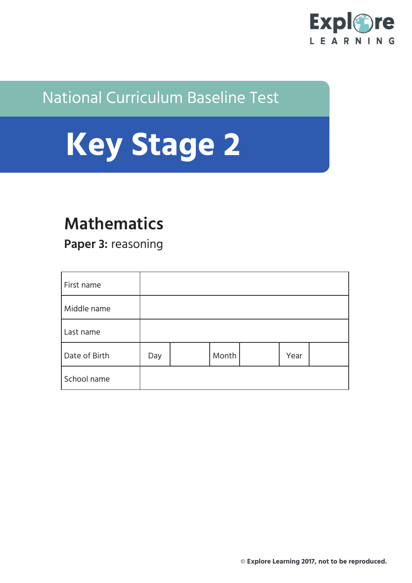

## National Curriculum Baseline Test



# **Mathematics**

**Paper 3:** reasoning

| First name    |     |       |      |  |
|---------------|-----|-------|------|--|
| Middle name   |     |       |      |  |
| Last name     |     |       |      |  |
| Date of Birth | Day | Month | Year |  |
| School name   |     |       |      |  |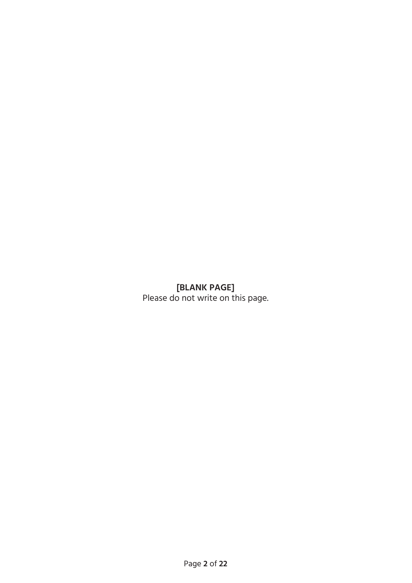### **[BLANK PAGE]**

Please do not write on this page.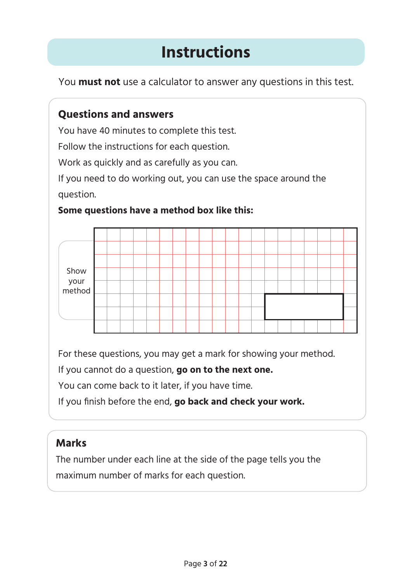# **Instructions**

You **must not** use a calculator to answer any questions in this test.

## **Questions and answers**

You have 40 minutes to complete this test.

Follow the instructions for each question.

Work as quickly and as carefully as you can.

If you need to do working out, you can use the space around the question.

# Show your method

#### **Some questions have a method box like this:**

For these questions, you may get a mark for showing your method.

If you cannot do a question, **go on to the next one.**

You can come back to it later, if you have time.

If you finish before the end, **go back and check your work.**

## **Marks**

The number under each line at the side of the page tells you the maximum number of marks for each question.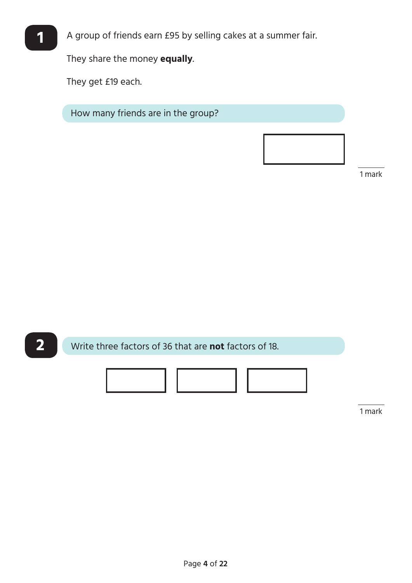

**1** A group of friends earn £95 by selling cakes at a summer fair.

They share the money **equally**.

They get £19 each.

How many friends are in the group?

1 mark



1 mark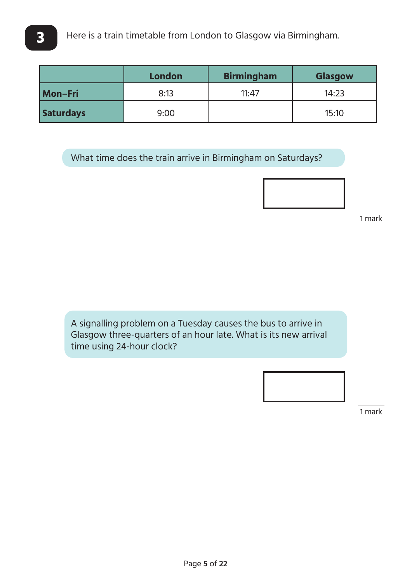|                  | <b>London</b> | <b>Birmingham</b> | <b>Glasgow</b> |
|------------------|---------------|-------------------|----------------|
| Mon-Fri          | 8:13          | 11:47             | 14:23          |
| <b>Saturdays</b> | 9:00          |                   | 15:10          |

What time does the train arrive in Birmingham on Saturdays?



1 mark

A signalling problem on a Tuesday causes the bus to arrive in Glasgow three-quarters of an hour late. What is its new arrival time using 24-hour clock?



1 mark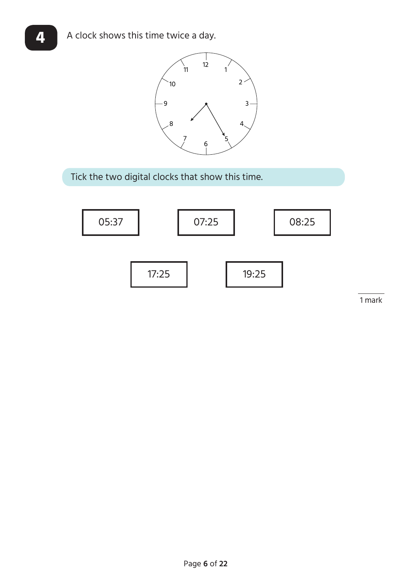

Tick the two digital clocks that show this time.



 $\overline{a}$ 

1 mark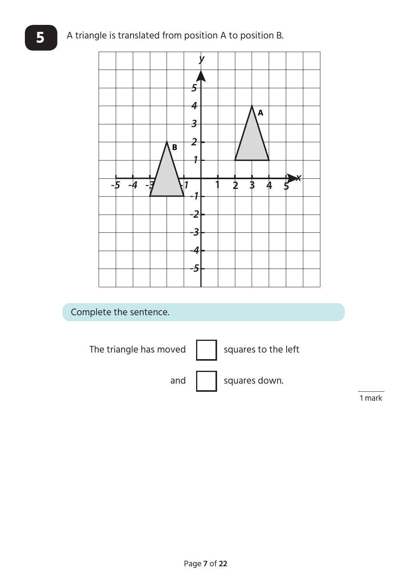## **5** A triangle is translated from position A to position B.

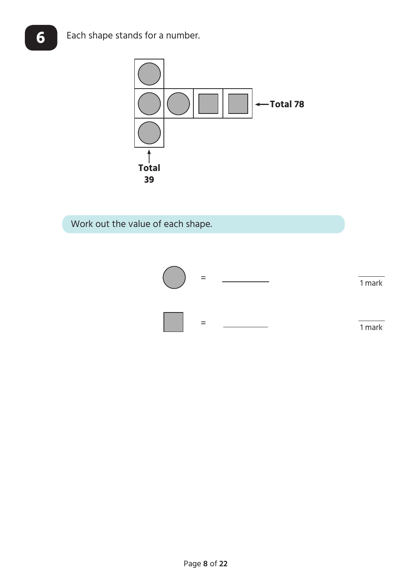

Work out the value of each shape.

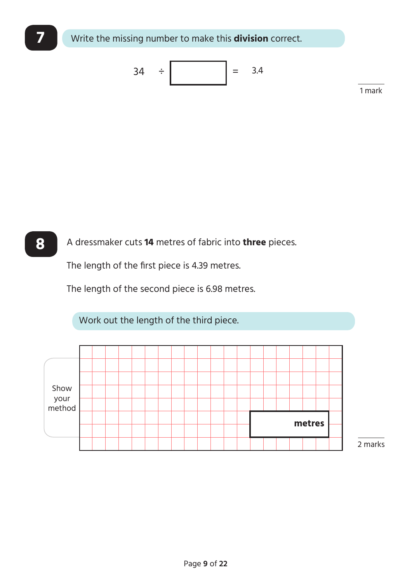

**8** A dressmaker cuts **14** metres of fabric into **three** pieces.

The length of the first piece is 4.39 metres.

The length of the second piece is 6.98 metres.

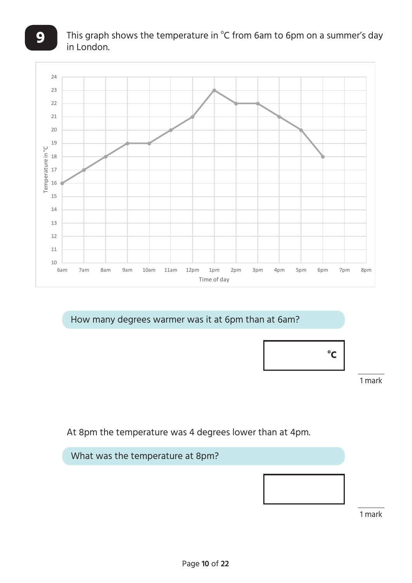

How many degrees warmer was it at 6pm than at 6am?



 $\overline{a}$ 1 mark

At 8pm the temperature was 4 degrees lower than at 4pm.



1 mark

 $\overline{a}$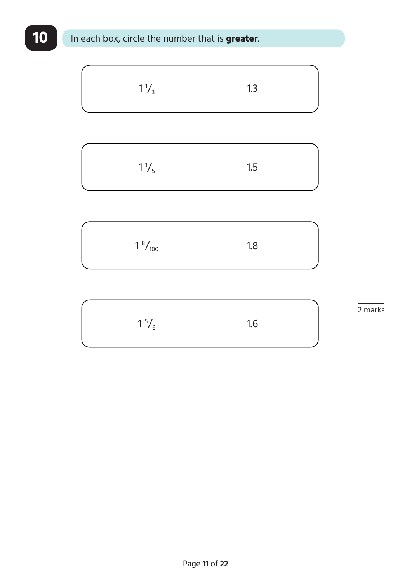# **10** In each box, circle the number that is **greater**.

$$
1\frac{1}{3}
$$
 1.3

| $1\frac{1}{5}$ | 1.5 |  |
|----------------|-----|--|
|                |     |  |

| $1\frac{8}{100}$ | 1.8 |  |
|------------------|-----|--|
|                  |     |  |

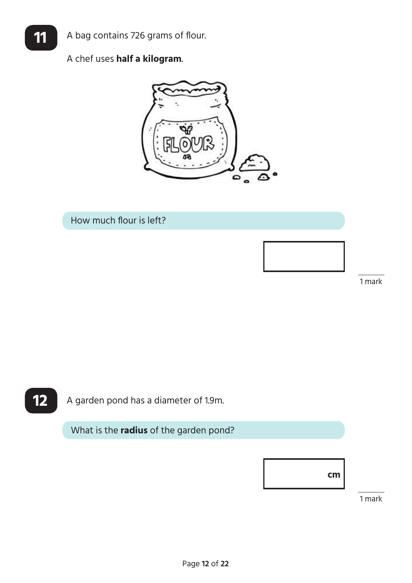## A chef uses **half a kilogram**.



How much flour is left?

1 mark

 $\overline{a}$ 



**12** A garden pond has a diameter of 1.9m.

What is the **radius** of the garden pond?



 $\overline{a}$ 1 mark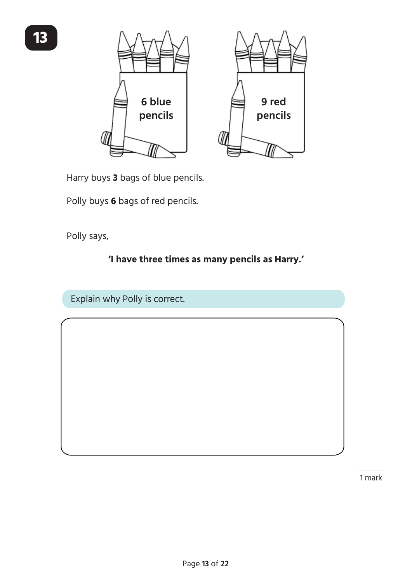



Harry buys **3** bags of blue pencils.

Polly buys **6** bags of red pencils.

Polly says,

## **'I have three times as many pencils as Harry.'**

Explain why Polly is correct.

 $\overline{a}$ 1 mark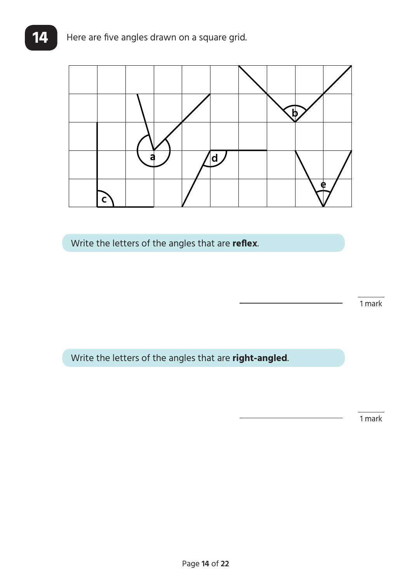

Write the letters of the angles that are **reflex**.

1 mark

 $\overline{a}$ 

Write the letters of the angles that are **right-angled**.

 $\overline{a}$ 1 mark

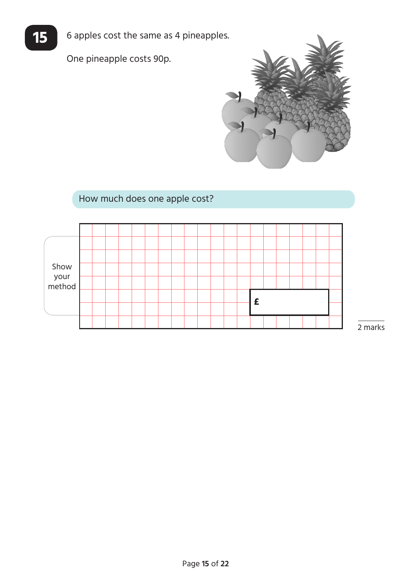

**15** 6 apples cost the same as 4 pineapples.

One pineapple costs 90p.



## How much does one apple cost?

| Show<br>your<br>method |  |  |  |  |  |  |   |  |  |  |
|------------------------|--|--|--|--|--|--|---|--|--|--|
|                        |  |  |  |  |  |  |   |  |  |  |
|                        |  |  |  |  |  |  | £ |  |  |  |
|                        |  |  |  |  |  |  |   |  |  |  |
|                        |  |  |  |  |  |  |   |  |  |  |

 $\overline{a}$ 2 marks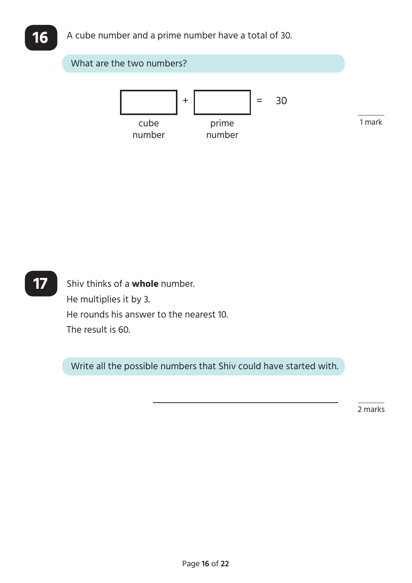

**17** Shiv thinks of a **whole** number. He multiplies it by 3. He rounds his answer to the nearest 10. The result is 60.

Write all the possible numbers that Shiv could have started with.

2 marks

 $\overline{a}$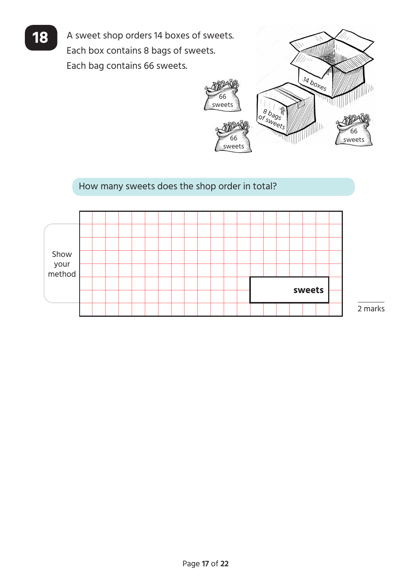18 A sweet shop orders 14 boxes of sweets. Each box contains 8 bags of sweets. Each bag contains 66 sweets.



#### How many sweets does the shop order in total?



2 marks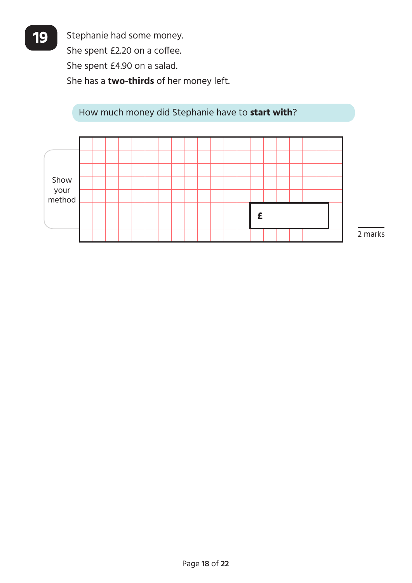**19** Stephanie had some money. She spent £2.20 on a coffee. She spent £4.90 on a salad. She has a **two-thirds** of her money left.

How much money did Stephanie have to **start with**?



Page **18** of **22**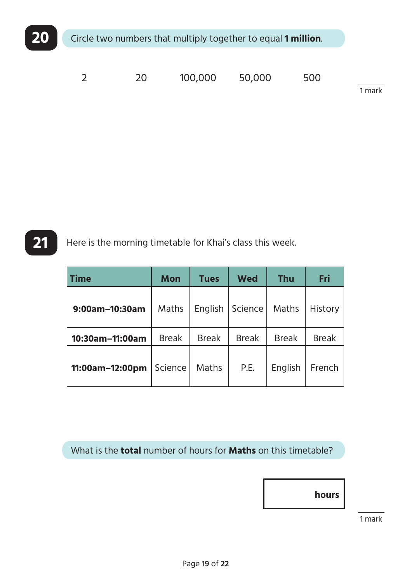

| $\overline{2}$ | 20 | 100,000 50,000 | 500 |        |
|----------------|----|----------------|-----|--------|
|                |    |                |     | 1 mark |

**21** Here is the morning timetable for Khai's class this week.

| <b>Time</b>     | <b>Mon</b>   | <b>Tues</b>  | <b>Wed</b>   | <b>Thu</b>   | Fri          |
|-----------------|--------------|--------------|--------------|--------------|--------------|
| 9:00am-10:30am  | Maths        | English      | Science      | Maths        | History      |
| 10:30am-11:00am | <b>Break</b> | <b>Break</b> | <b>Break</b> | <b>Break</b> | <b>Break</b> |
| 11:00am-12:00pm | Science      | Maths        | P.E.         | English      | French       |

What is the **total** number of hours for **Maths** on this timetable?

**hours**

1 mark

 $\overline{a}$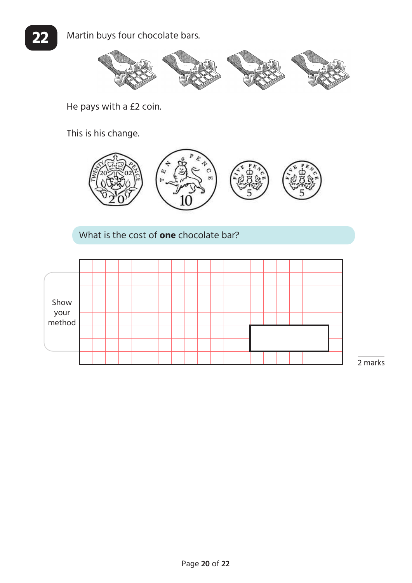

He pays with a £2 coin.

This is his change.



What is the cost of **one** chocolate bar?



2 marks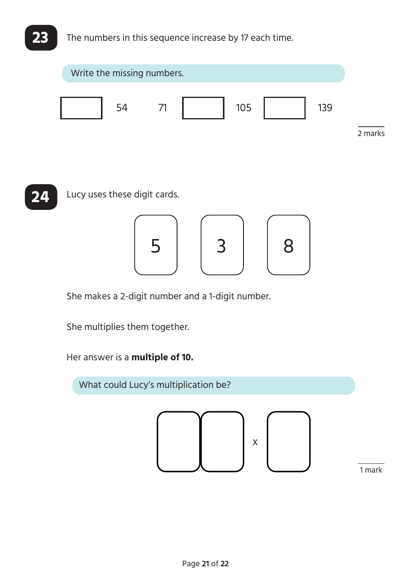## **23** The numbers in this sequence increase by 17 each time.





She makes a 2-digit number and a 1-digit number.

She multiplies them together.

Her answer is a **multiple of 10.**